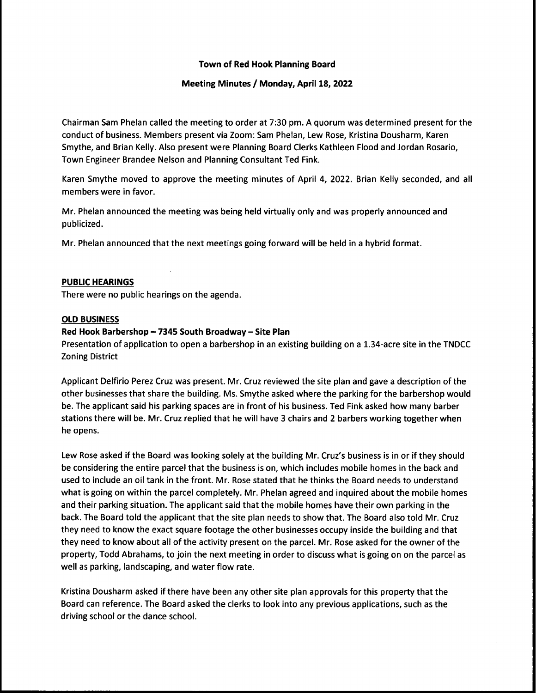## **Town of Red Hook Planning Board**

#### Meeting Minutes / Monday, April 18, 2022

Chairman Sam Phelan called the meeting to order at 7:30 pm. A quorum was determined present for the conduct of business. Members present via Zoom: Sam Phelan, Lew Rose, Kristina Dousharm, Karen Smythe, and Brian Kelly. Also present were Planning Board Clerks Kathleen Flood and Jordan Rosario, Town Engineer Brandee Nelson and Planning Consultant Ted Fink.

Karen Smythe moved to approve the meeting minutes of April 4, 2022. Brian Kelly seconded, and all members were in favor.

Mr. Phelan announced the meeting was being held virtually only and was properly announced and publicized.

Mr. Phelan announced that the next meetings going forward will be held in a hybrid format.

#### **PUBLIC HEARINGS**

There were no public hearings on the agenda.

#### **OLD BUSINESS**

#### Red Hook Barbershop - 7345 South Broadway - Site Plan

Presentation of application to open a barbershop in an existing building on a 1.34-acre site in the TNDCC **Zoning District** 

Applicant Delfirio Perez Cruz was present. Mr. Cruz reviewed the site plan and gave a description of the other businesses that share the building. Ms. Smythe asked where the parking for the barbershop would be. The applicant said his parking spaces are in front of his business. Ted Fink asked how many barber stations there will be. Mr. Cruz replied that he will have 3 chairs and 2 barbers working together when he opens.

Lew Rose asked if the Board was looking solely at the building Mr. Cruz's business is in or if they should be considering the entire parcel that the business is on, which includes mobile homes in the back and used to include an oil tank in the front. Mr. Rose stated that he thinks the Board needs to understand what is going on within the parcel completely. Mr. Phelan agreed and inquired about the mobile homes and their parking situation. The applicant said that the mobile homes have their own parking in the back. The Board told the applicant that the site plan needs to show that. The Board also told Mr. Cruz they need to know the exact square footage the other businesses occupy inside the building and that they need to know about all of the activity present on the parcel. Mr. Rose asked for the owner of the property, Todd Abrahams, to join the next meeting in order to discuss what is going on on the parcel as well as parking, landscaping, and water flow rate.

Kristina Dousharm asked if there have been any other site plan approvals for this property that the Board can reference. The Board asked the clerks to look into any previous applications, such as the driving school or the dance school.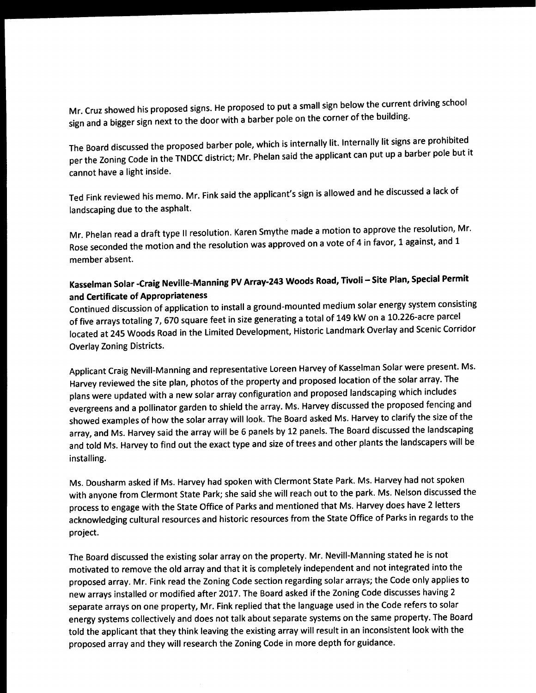Mr. Cruz showed his proposed signs. He proposed to put a small sign below the current driving school sign and a bigger sign next to the door with a barber pole on the corner of the building.

The Board discussed the proposed barber pole, which is internally lit. Internally lit signs are prohibited per the Zoning Code in the TNDCC district; Mr. Phelan said the applicant can put up a barber pole but it cannot have a light inside.

Ted Fink reviewed his memo. Mr. Fink said the applicant's sign is allowed and he discussed a lack of landscaping due to the asphalt.

Mr. Phelan read a draft type II resolution. Karen Smythe made a motion to approve the resolution, Mr. Rose seconded the motion and the resolution was approved on a vote of 4 in favor, 1 against, and 1 member absent.

# Kasselman Solar -Craig Neville-Manning PV Array-243 Woods Road, Tivoli - Site Plan, Special Permit and Certificate of Appropriateness

Continued discussion of application to install a ground-mounted medium solar energy system consisting of five arrays totaling 7, 670 square feet in size generating a total of 149 kW on a 10.226-acre parcel located at 245 Woods Road in the Limited Development, Historic Landmark Overlay and Scenic Corridor **Overlay Zoning Districts.** 

Applicant Craig Nevill-Manning and representative Loreen Harvey of Kasselman Solar were present. Ms. Harvey reviewed the site plan, photos of the property and proposed location of the solar array. The plans were updated with a new solar array configuration and proposed landscaping which includes evergreens and a pollinator garden to shield the array. Ms. Harvey discussed the proposed fencing and showed examples of how the solar array will look. The Board asked Ms. Harvey to clarify the size of the array, and Ms. Harvey said the array will be 6 panels by 12 panels. The Board discussed the landscaping and told Ms. Harvey to find out the exact type and size of trees and other plants the landscapers will be installing.

Ms. Dousharm asked if Ms. Harvey had spoken with Clermont State Park. Ms. Harvey had not spoken with anyone from Clermont State Park; she said she will reach out to the park. Ms. Nelson discussed the process to engage with the State Office of Parks and mentioned that Ms. Harvey does have 2 letters acknowledging cultural resources and historic resources from the State Office of Parks in regards to the project.

The Board discussed the existing solar array on the property. Mr. Nevill-Manning stated he is not motivated to remove the old array and that it is completely independent and not integrated into the proposed array. Mr. Fink read the Zoning Code section regarding solar arrays; the Code only applies to new arrays installed or modified after 2017. The Board asked if the Zoning Code discusses having 2 separate arrays on one property, Mr. Fink replied that the language used in the Code refers to solar energy systems collectively and does not talk about separate systems on the same property. The Board told the applicant that they think leaving the existing array will result in an inconsistent look with the proposed array and they will research the Zoning Code in more depth for guidance.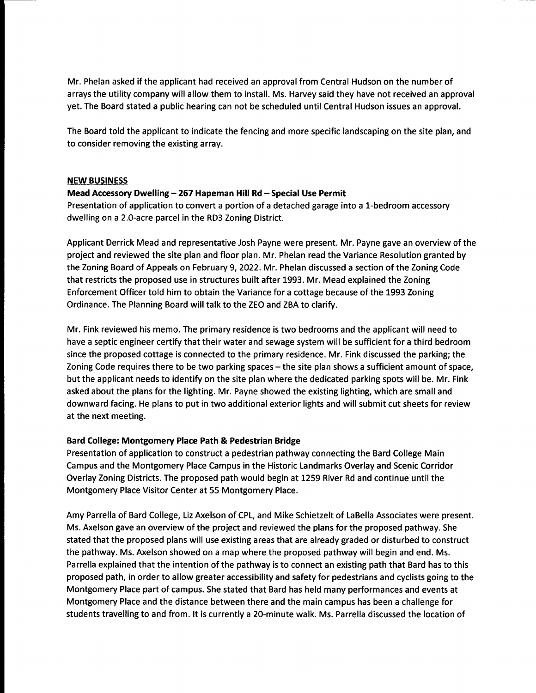Mr. Phelan asked if the applicant had received an approval from Central Hudson on the number of arrays the utility company will allow them to install. Ms. Harvey said they have not received an approval yet. The Board stated a public hearing can not be scheduled until Central Hudson issues an approval.

The Board told the applicant to indicate the fencing and more specific landscaping on the site plan, and to consider removing the existing array.

#### **NEW BUSINESS**

### Mead Accessory Dwelling - 267 Hapeman Hill Rd - Special Use Permit

Presentation of application to convert a portion of a detached garage into a 1-bedroom accessory dwelling on a 2.0-acre parcel in the RD3 Zoning District.

Applicant Derrick Mead and representative Josh Payne were present. Mr. Payne gave an overview of the project and reviewed the site plan and floor plan. Mr. Phelan read the Variance Resolution granted by the Zoning Board of Appeals on February 9, 2022. Mr. Phelan discussed a section of the Zoning Code that restricts the proposed use in structures built after 1993. Mr. Mead explained the Zoning Enforcement Officer told him to obtain the Variance for a cottage because of the 1993 Zoning Ordinance. The Planning Board will talk to the ZEO and ZBA to clarify.

Mr. Fink reviewed his memo. The primary residence is two bedrooms and the applicant will need to have a septic engineer certify that their water and sewage system will be sufficient for a third bedroom since the proposed cottage is connected to the primary residence. Mr. Fink discussed the parking; the Zoning Code requires there to be two parking spaces – the site plan shows a sufficient amount of space, but the applicant needs to identify on the site plan where the dedicated parking spots will be. Mr. Fink asked about the plans for the lighting. Mr. Payne showed the existing lighting, which are small and downward facing. He plans to put in two additional exterior lights and will submit cut sheets for review at the next meeting.

## Bard College: Montgomery Place Path & Pedestrian Bridge

Presentation of application to construct a pedestrian pathway connecting the Bard College Main Campus and the Montgomery Place Campus in the Historic Landmarks Overlay and Scenic Corridor Overlay Zoning Districts. The proposed path would begin at 1259 River Rd and continue until the Montgomery Place Visitor Center at 55 Montgomery Place.

Amy Parrella of Bard College, Liz Axelson of CPL, and Mike Schietzelt of LaBella Associates were present. Ms. Axelson gave an overview of the project and reviewed the plans for the proposed pathway. She stated that the proposed plans will use existing areas that are already graded or disturbed to construct the pathway. Ms. Axelson showed on a map where the proposed pathway will begin and end. Ms. Parrella explained that the intention of the pathway is to connect an existing path that Bard has to this proposed path, in order to allow greater accessibility and safety for pedestrians and cyclists going to the Montgomery Place part of campus. She stated that Bard has held many performances and events at Montgomery Place and the distance between there and the main campus has been a challenge for students travelling to and from. It is currently a 20-minute walk. Ms. Parrella discussed the location of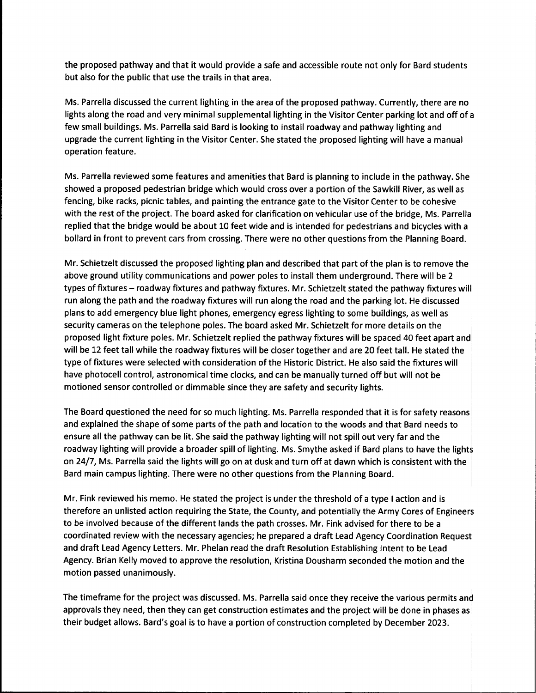the proposed pathway and that it would provide a safe and accessible route not only for Bard students but also for the public that use the trails in that area.

Ms. Parrella discussed the current lighting in the area of the proposed pathway. Currently, there are no lights along the road and very minimal supplemental lighting in the Visitor Center parking lot and off of a few small buildings. Ms. Parrella said Bard is looking to install roadway and pathway lighting and upgrade the current lighting in the Visitor Center. She stated the proposed lighting will have a manual operation feature.

Ms. Parrella reviewed some features and amenities that Bard is planning to include in the pathway. She showed a proposed pedestrian bridge which would cross over a portion of the Sawkill River, as well as fencing, bike racks, picnic tables, and painting the entrance gate to the Visitor Center to be cohesive with the rest of the project. The board asked for clarification on vehicular use of the bridge, Ms. Parrella replied that the bridge would be about 10 feet wide and is intended for pedestrians and bicycles with a bollard in front to prevent cars from crossing. There were no other questions from the Planning Board.

Mr. Schietzelt discussed the proposed lighting plan and described that part of the plan is to remove the above ground utility communications and power poles to install them underground. There will be 2 types of fixtures - roadway fixtures and pathway fixtures. Mr. Schietzelt stated the pathway fixtures will run along the path and the roadway fixtures will run along the road and the parking lot. He discussed plans to add emergency blue light phones, emergency egress lighting to some buildings, as well as security cameras on the telephone poles. The board asked Mr. Schietzelt for more details on the proposed light fixture poles. Mr. Schietzelt replied the pathway fixtures will be spaced 40 feet apart and will be 12 feet tall while the roadway fixtures will be closer together and are 20 feet tall. He stated the type of fixtures were selected with consideration of the Historic District. He also said the fixtures will have photocell control, astronomical time clocks, and can be manually turned off but will not be motioned sensor controlled or dimmable since they are safety and security lights.

The Board questioned the need for so much lighting. Ms. Parrella responded that it is for safety reasons and explained the shape of some parts of the path and location to the woods and that Bard needs to ensure all the pathway can be lit. She said the pathway lighting will not spill out very far and the roadway lighting will provide a broader spill of lighting. Ms. Smythe asked if Bard plans to have the lights on 24/7, Ms. Parrella said the lights will go on at dusk and turn off at dawn which is consistent with the Bard main campus lighting. There were no other questions from the Planning Board.

Mr. Fink reviewed his memo. He stated the project is under the threshold of a type I action and is therefore an unlisted action requiring the State, the County, and potentially the Army Cores of Engineers to be involved because of the different lands the path crosses. Mr. Fink advised for there to be a coordinated review with the necessary agencies; he prepared a draft Lead Agency Coordination Request and draft Lead Agency Letters. Mr. Phelan read the draft Resolution Establishing Intent to be Lead Agency. Brian Kelly moved to approve the resolution, Kristina Dousharm seconded the motion and the motion passed unanimously.

The timeframe for the project was discussed. Ms. Parrella said once they receive the various permits and approvals they need, then they can get construction estimates and the project will be done in phases as their budget allows. Bard's goal is to have a portion of construction completed by December 2023.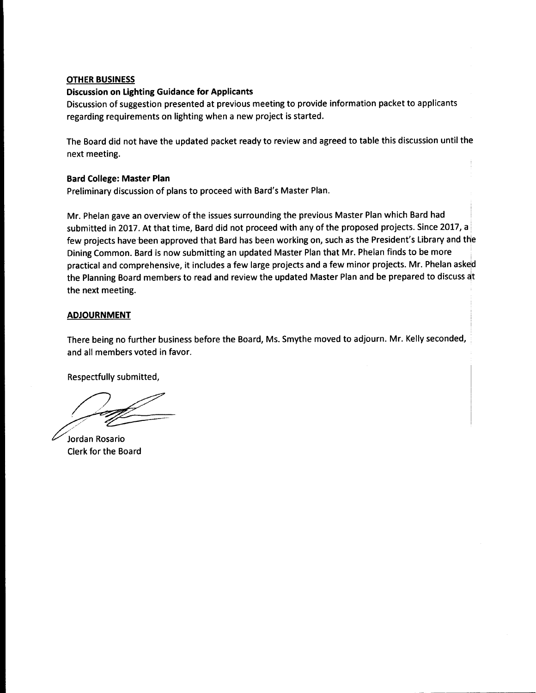### **OTHER BUSINESS**

### **Discussion on Lighting Guidance for Applicants**

Discussion of suggestion presented at previous meeting to provide information packet to applicants regarding requirements on lighting when a new project is started.

The Board did not have the updated packet ready to review and agreed to table this discussion until the next meeting.

### **Bard College: Master Plan**

Preliminary discussion of plans to proceed with Bard's Master Plan.

Mr. Phelan gave an overview of the issues surrounding the previous Master Plan which Bard had submitted in 2017. At that time, Bard did not proceed with any of the proposed projects. Since 2017, a few projects have been approved that Bard has been working on, such as the President's Library and the Dining Common. Bard is now submitting an updated Master Plan that Mr. Phelan finds to be more practical and comprehensive, it includes a few large projects and a few minor projects. Mr. Phelan asked the Planning Board members to read and review the updated Master Plan and be prepared to discuss at the next meeting.

## **ADJOURNMENT**

There being no further business before the Board, Ms. Smythe moved to adjourn. Mr. Kelly seconded, and all members voted in favor.

Respectfully submitted,

Jordan Rosario **Clerk for the Board**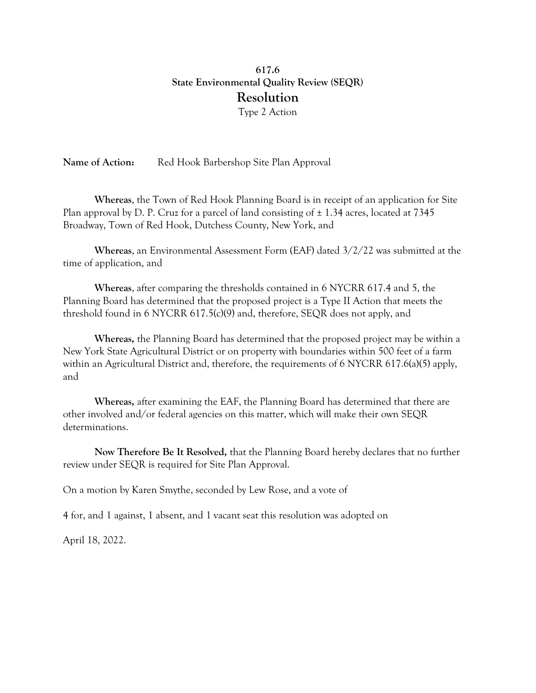## 617.6 State Environmental Quality Review (SEQR) Resolution Type 2 Action

Name of Action: Red Hook Barbershop Site Plan Approval

Whereas, the Town of Red Hook Planning Board is in receipt of an application for Site Plan approval by D. P. Cruz for a parcel of land consisting of  $\pm$  1.34 acres, located at 7345 Broadway, Town of Red Hook, Dutchess County, New York, and

Whereas, an Environmental Assessment Form (EAF) dated 3/2/22 was submitted at the time of application, and

Whereas, after comparing the thresholds contained in 6 NYCRR 617.4 and 5, the Planning Board has determined that the proposed project is a Type II Action that meets the threshold found in 6 NYCRR 617.5(c)(9) and, therefore, SEQR does not apply, and

Whereas, the Planning Board has determined that the proposed project may be within a New York State Agricultural District or on property with boundaries within 500 feet of a farm within an Agricultural District and, therefore, the requirements of 6 NYCRR 617.6(a)(5) apply, and

Whereas, after examining the EAF, the Planning Board has determined that there are other involved and/or federal agencies on this matter, which will make their own SEQR determinations.

Now Therefore Be It Resolved, that the Planning Board hereby declares that no further review under SEQR is required for Site Plan Approval.

On a motion by Karen Smythe, seconded by Lew Rose, and a vote of

4 for, and 1 against, 1 absent, and 1 vacant seat this resolution was adopted on

April 18, 2022.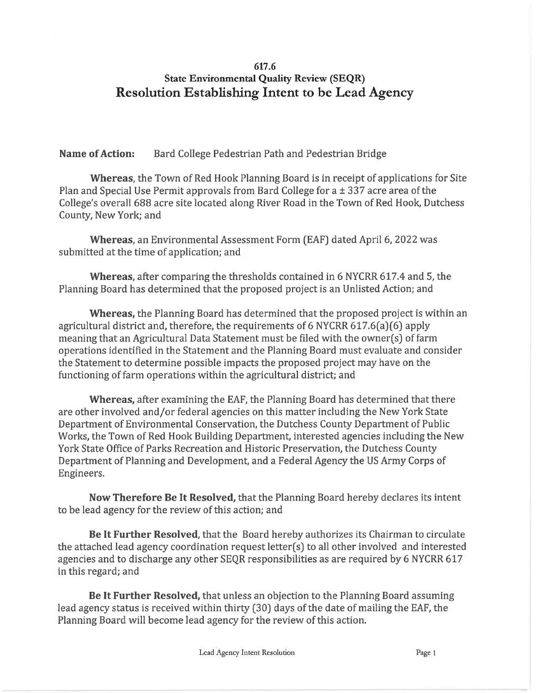## 617.6 **State Environmental Quality Review (SEQR) Resolution Establishing Intent to be Lead Agency**

**Name of Action:** Bard College Pedestrian Path and Pedestrian Bridge

**Whereas, the Town of Red Hook Planning Board is in receipt of applications for Site** Plan and Special Use Permit approvals from Bard College for a ± 337 acre area of the College's overall 688 acre site located along River Road in the Town of Red Hook, Dutchess County, New York; and

Whereas, an Environmental Assessment Form (EAF) dated April 6, 2022 was submitted at the time of application; and

**Whereas,** after comparing the thresholds contained in 6 NYCRR 617.4 and 5, the Planning Board has determined that the proposed project is an Unlisted Action; and

Whereas, the Planning Board has determined that the proposed project is within an agricultural district and, therefore, the requirements of 6 NYCRR  $617.6(a)(6)$  apply meaning that an Agricultural Data Statement must be filed with the owner(s) of farm operations identified in the Statement and the Planning Board must evaluate and consider the Statement to determine possible impacts the proposed project may have on the functioning of farm operations within the agricultural district; and

Whereas, after examining the EAF, the Planning Board has determined that there are other involved and/or federal agencies on this matter including the New York State Department of Environmental Conservation, the Dutchess County Department of Public Works, the Town of Red Hook Building Department, interested agencies including the New York State Office of Parks Recreation and Historic Preservation, the Dutchess County Department of Planning and Development, and a Federal Agency the US Army Corps of Engineers.

Now Therefore Be It Resolved, that the Planning Board hereby declares its intent to be lead agency for the review of this action; and

Be It Further Resolved, that the Board hereby authorizes its Chairman to circulate the attached lead agency coordination request letter(s) to all other involved and interested agencies and to discharge any other SEQR responsibilities as are required by 6 NYCRR 617 in this regard; and

Be It Further Resolved, that unless an objection to the Planning Board assuming lead agency status is received within thirty (30) days of the date of mailing the EAF, the Planning Board will become lead agency for the review of this action.

Lead Agency Intent Resolution